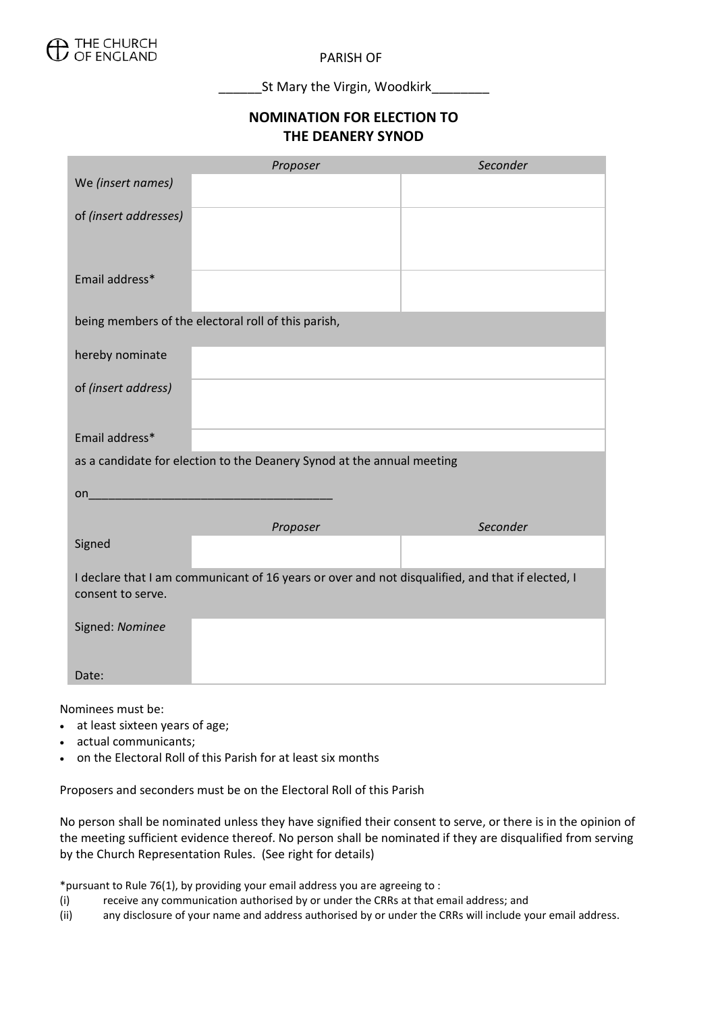

PARISH OF

\_\_\_\_\_\_St Mary the Virgin, Woodkirk\_\_\_\_\_\_\_\_

## **NOMINATION FOR ELECTION TO THE DEANERY SYNOD**

|                                                                                                                       | Proposer                                                                                                                                                                                                                       | Seconder |
|-----------------------------------------------------------------------------------------------------------------------|--------------------------------------------------------------------------------------------------------------------------------------------------------------------------------------------------------------------------------|----------|
| We (insert names)                                                                                                     |                                                                                                                                                                                                                                |          |
| of (insert addresses)                                                                                                 |                                                                                                                                                                                                                                |          |
| Email address*                                                                                                        |                                                                                                                                                                                                                                |          |
| being members of the electoral roll of this parish,                                                                   |                                                                                                                                                                                                                                |          |
| hereby nominate                                                                                                       |                                                                                                                                                                                                                                |          |
| of (insert address)                                                                                                   |                                                                                                                                                                                                                                |          |
| Email address*                                                                                                        |                                                                                                                                                                                                                                |          |
| as a candidate for election to the Deanery Synod at the annual meeting                                                |                                                                                                                                                                                                                                |          |
|                                                                                                                       | on and the contract of the contract of the contract of the contract of the contract of the contract of the contract of the contract of the contract of the contract of the contract of the contract of the contract of the con |          |
|                                                                                                                       | Proposer                                                                                                                                                                                                                       | Seconder |
| Signed                                                                                                                |                                                                                                                                                                                                                                |          |
| I declare that I am communicant of 16 years or over and not disqualified, and that if elected, I<br>consent to serve. |                                                                                                                                                                                                                                |          |
| Signed: Nominee                                                                                                       |                                                                                                                                                                                                                                |          |
| Date:                                                                                                                 |                                                                                                                                                                                                                                |          |

Nominees must be:

- at least sixteen years of age;
- actual communicants;
- on the Electoral Roll of this Parish for at least six months

Proposers and seconders must be on the Electoral Roll of this Parish

No person shall be nominated unless they have signified their consent to serve, or there is in the opinion of the meeting sufficient evidence thereof. No person shall be nominated if they are disqualified from serving by the Church Representation Rules. (See right for details)

\*pursuant to Rule 76(1), by providing your email address you are agreeing to :

- (i) receive any communication authorised by or under the CRRs at that email address; and
- (ii) any disclosure of your name and address authorised by or under the CRRs will include your email address.